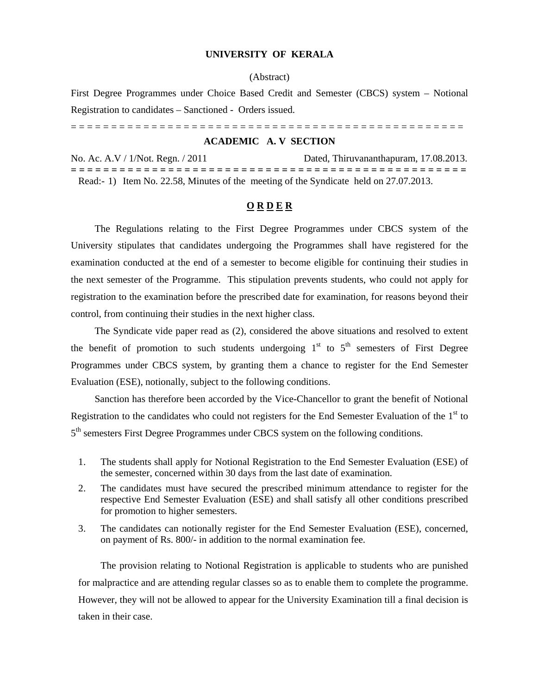## **UNIVERSITY OF KERALA**

# (Abstract)

First Degree Programmes under Choice Based Credit and Semester (CBCS) system – Notional Registration to candidates – Sanctioned - Orders issued.

= = = = = = = = = = = = = = = = = = = = = = = = = = = = = = = = = = = = = = = = = = = = = = = = =

#### **ACADEMIC A. V SECTION**

No. Ac. A.V / 1/Not. Regn. / 2011 Dated, Thiruvananthapuram, 17.08.2013. **= = = = = = = = = = = = = = = = = = = = = = = = = = = = = = = = = = = = = = = = = = = = = = = = =**  Read:- 1) Item No. 22.58, Minutes of the meeting of the Syndicate held on 27.07.2013.

## **O R D E R**

 The Regulations relating to the First Degree Programmes under CBCS system of the University stipulates that candidates undergoing the Programmes shall have registered for the examination conducted at the end of a semester to become eligible for continuing their studies in the next semester of the Programme. This stipulation prevents students, who could not apply for registration to the examination before the prescribed date for examination, for reasons beyond their control, from continuing their studies in the next higher class.

 The Syndicate vide paper read as (2), considered the above situations and resolved to extent the benefit of promotion to such students undergoing  $1<sup>st</sup>$  to  $5<sup>th</sup>$  semesters of First Degree Programmes under CBCS system, by granting them a chance to register for the End Semester Evaluation (ESE), notionally, subject to the following conditions.

 Sanction has therefore been accorded by the Vice-Chancellor to grant the benefit of Notional Registration to the candidates who could not registers for the End Semester Evaluation of the  $1<sup>st</sup>$  to 5<sup>th</sup> semesters First Degree Programmes under CBCS system on the following conditions.

- 1. The students shall apply for Notional Registration to the End Semester Evaluation (ESE) of the semester, concerned within 30 days from the last date of examination.
- 2. The candidates must have secured the prescribed minimum attendance to register for the respective End Semester Evaluation (ESE) and shall satisfy all other conditions prescribed for promotion to higher semesters.
- 3. The candidates can notionally register for the End Semester Evaluation (ESE), concerned, on payment of Rs. 800/- in addition to the normal examination fee.

The provision relating to Notional Registration is applicable to students who are punished for malpractice and are attending regular classes so as to enable them to complete the programme. However, they will not be allowed to appear for the University Examination till a final decision is taken in their case.